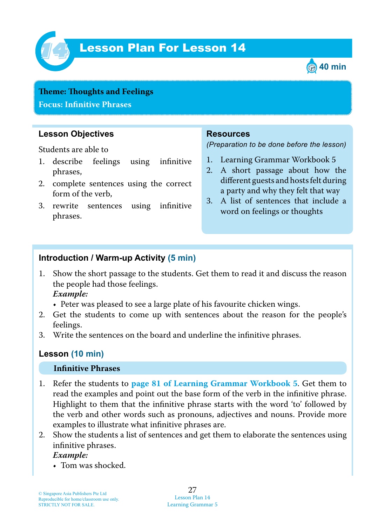

# Lesson Plan For Lesson 14 *14*



## **Teme : Toughts and Feelings Focus: Infinitive Phrases**

## **Lesson Objectives**

Students are able to

- 1. describe feelings using infinitive phrases,
- 2. complete sentences using the correct form of the verb,
- 3. rewrite sentences using infinitive phrases.

### **Resources**

*(Preparation to be done before the lesson)*

- 1. Learning Grammar Workbook 5
- 2. A short passage about how the different guests and hosts felt during a party and why they felt that way
- 3. A list of sentences that include a word on feelings or thoughts

## **Introduction / Warm-up Activity (5 min)**

1. Show the short passage to the students. Get them to read it and discuss the reason the people had those feelings.

 *Example:*

- Peter was pleased to see a large plate of his favourite chicken wings.
- 2. Get the students to come up with sentences about the reason for the people's feelings.
- 3. Write the sentences on the board and underline the infinitive phrases.

## **Lesson (10 min)**

#### **Infinitive Phrases**

- 1. Refer the students to **page 81 of Learning Grammar Workbook 5**. Get them to read the examples and point out the base form of the verb in the infinitive phrase. Highlight to them that the infinitive phrase starts with the word 'to' followed by the verb and other words such as pronouns, adjectives and nouns. Provide more examples to illustrate what infinitive phrases are.
- 2. Show the students a list of sentences and get them to elaborate the sentences using infinitive phrases.

 *Example:*

• Tom was shocked.